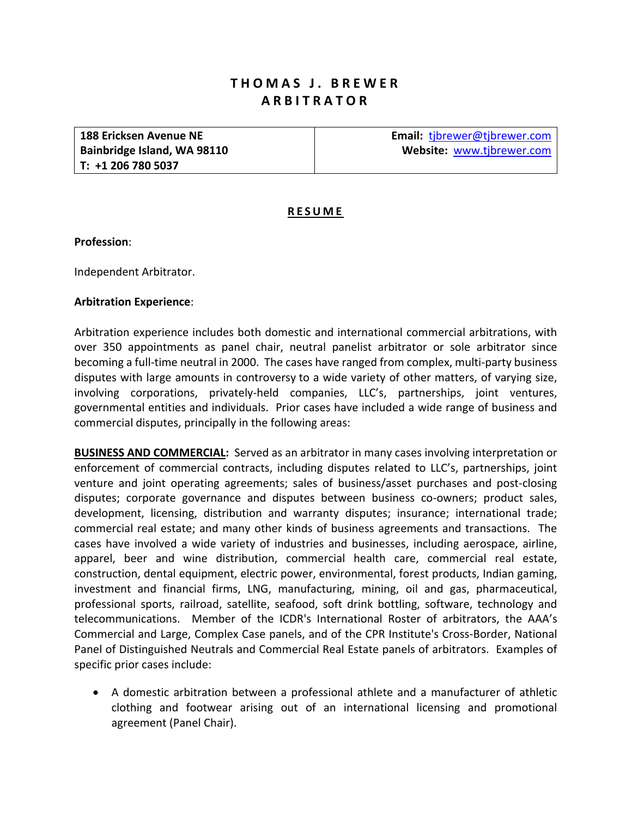# **THOMAS J. BREWER ARBITRATOR**

**188 Ericksen Avenue NE Bainbridge Island, WA 98110 T: +1 206 780 5037** 

**Email:** tjbrewer@tjbrewer.com **Website:** www.tjbrewer.com

# **RESUME**

#### **Profession**:

Independent Arbitrator.

## **Arbitration Experience**:

Arbitration experience includes both domestic and international commercial arbitrations, with over 350 appointments as panel chair, neutral panelist arbitrator or sole arbitrator since becoming a full-time neutral in 2000. The cases have ranged from complex, multi-party business disputes with large amounts in controversy to a wide variety of other matters, of varying size, involving corporations, privately‐held companies, LLC's, partnerships, joint ventures, governmental entities and individuals. Prior cases have included a wide range of business and commercial disputes, principally in the following areas:

**BUSINESS AND COMMERCIAL:** Served as an arbitrator in many cases involving interpretation or enforcement of commercial contracts, including disputes related to LLC's, partnerships, joint venture and joint operating agreements; sales of business/asset purchases and post‐closing disputes; corporate governance and disputes between business co-owners; product sales, development, licensing, distribution and warranty disputes; insurance; international trade; commercial real estate; and many other kinds of business agreements and transactions. The cases have involved a wide variety of industries and businesses, including aerospace, airline, apparel, beer and wine distribution, commercial health care, commercial real estate, construction, dental equipment, electric power, environmental, forest products, Indian gaming, investment and financial firms, LNG, manufacturing, mining, oil and gas, pharmaceutical, professional sports, railroad, satellite, seafood, soft drink bottling, software, technology and telecommunications. Member of the ICDR's International Roster of arbitrators, the AAA's Commercial and Large, Complex Case panels, and of the CPR Institute's Cross‐Border, National Panel of Distinguished Neutrals and Commercial Real Estate panels of arbitrators. Examples of specific prior cases include:

 A domestic arbitration between a professional athlete and a manufacturer of athletic clothing and footwear arising out of an international licensing and promotional agreement (Panel Chair).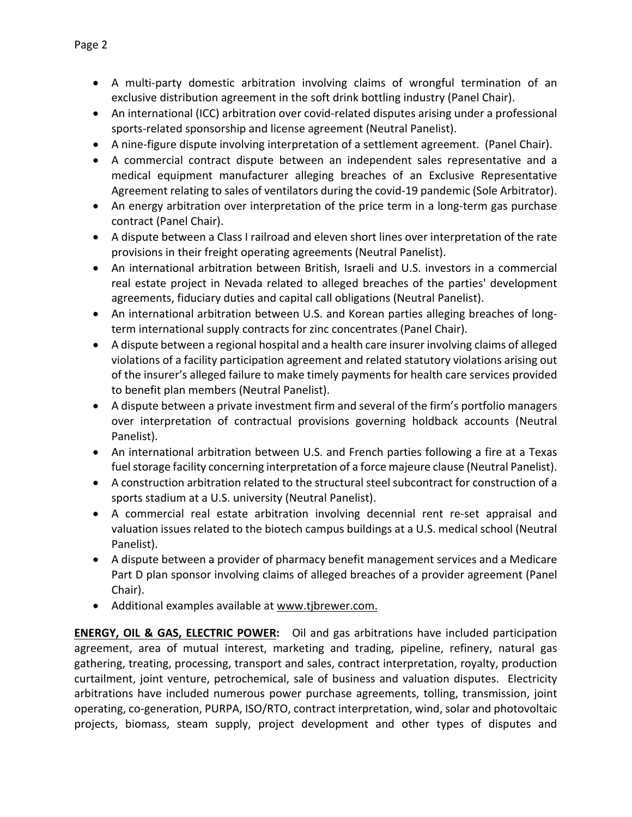- A multi-party domestic arbitration involving claims of wrongful termination of an exclusive distribution agreement in the soft drink bottling industry (Panel Chair).
- An international (ICC) arbitration over covid-related disputes arising under a professional sports‐related sponsorship and license agreement (Neutral Panelist).
- A nine-figure dispute involving interpretation of a settlement agreement. (Panel Chair).
- A commercial contract dispute between an independent sales representative and a medical equipment manufacturer alleging breaches of an Exclusive Representative Agreement relating to sales of ventilators during the covid-19 pandemic (Sole Arbitrator).
- An energy arbitration over interpretation of the price term in a long-term gas purchase contract (Panel Chair).
- A dispute between a Class I railroad and eleven short lines over interpretation of the rate provisions in their freight operating agreements (Neutral Panelist).
- An international arbitration between British, Israeli and U.S. investors in a commercial real estate project in Nevada related to alleged breaches of the parties' development agreements, fiduciary duties and capital call obligations (Neutral Panelist).
- An international arbitration between U.S. and Korean parties alleging breaches of longterm international supply contracts for zinc concentrates (Panel Chair).
- A dispute between a regional hospital and a health care insurer involving claims of alleged violations of a facility participation agreement and related statutory violations arising out of the insurer's alleged failure to make timely payments for health care services provided to benefit plan members (Neutral Panelist).
- A dispute between a private investment firm and several of the firm's portfolio managers over interpretation of contractual provisions governing holdback accounts (Neutral Panelist).
- An international arbitration between U.S. and French parties following a fire at a Texas fuel storage facility concerning interpretation of a force majeure clause (Neutral Panelist).
- A construction arbitration related to the structural steel subcontract for construction of a sports stadium at a U.S. university (Neutral Panelist).
- A commercial real estate arbitration involving decennial rent re-set appraisal and valuation issues related to the biotech campus buildings at a U.S. medical school (Neutral Panelist).
- A dispute between a provider of pharmacy benefit management services and a Medicare Part D plan sponsor involving claims of alleged breaches of a provider agreement (Panel Chair).
- Additional examples available at www.tjbrewer.com.

**ENERGY, OIL & GAS, ELECTRIC POWER:** Oil and gas arbitrations have included participation agreement, area of mutual interest, marketing and trading, pipeline, refinery, natural gas gathering, treating, processing, transport and sales, contract interpretation, royalty, production curtailment, joint venture, petrochemical, sale of business and valuation disputes. Electricity arbitrations have included numerous power purchase agreements, tolling, transmission, joint operating, co‐generation, PURPA, ISO/RTO, contract interpretation, wind, solar and photovoltaic projects, biomass, steam supply, project development and other types of disputes and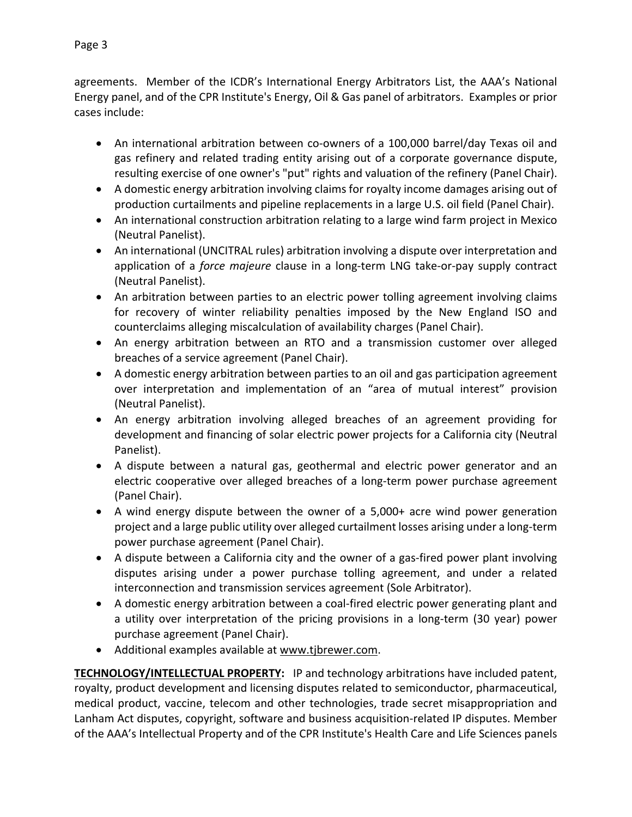agreements. Member of the ICDR's International Energy Arbitrators List, the AAA's National Energy panel, and of the CPR Institute's Energy, Oil & Gas panel of arbitrators. Examples or prior cases include:

- An international arbitration between co‐owners of a 100,000 barrel/day Texas oil and gas refinery and related trading entity arising out of a corporate governance dispute, resulting exercise of one owner's "put" rights and valuation of the refinery (Panel Chair).
- A domestic energy arbitration involving claims for royalty income damages arising out of production curtailments and pipeline replacements in a large U.S. oil field (Panel Chair).
- An international construction arbitration relating to a large wind farm project in Mexico (Neutral Panelist).
- An international (UNCITRAL rules) arbitration involving a dispute over interpretation and application of a *force majeure* clause in a long-term LNG take-or-pay supply contract (Neutral Panelist).
- An arbitration between parties to an electric power tolling agreement involving claims for recovery of winter reliability penalties imposed by the New England ISO and counterclaims alleging miscalculation of availability charges (Panel Chair).
- An energy arbitration between an RTO and a transmission customer over alleged breaches of a service agreement (Panel Chair).
- A domestic energy arbitration between parties to an oil and gas participation agreement over interpretation and implementation of an "area of mutual interest" provision (Neutral Panelist).
- An energy arbitration involving alleged breaches of an agreement providing for development and financing of solar electric power projects for a California city (Neutral Panelist).
- A dispute between a natural gas, geothermal and electric power generator and an electric cooperative over alleged breaches of a long-term power purchase agreement (Panel Chair).
- A wind energy dispute between the owner of a 5,000+ acre wind power generation project and a large public utility over alleged curtailment losses arising under a long‐term power purchase agreement (Panel Chair).
- A dispute between a California city and the owner of a gas-fired power plant involving disputes arising under a power purchase tolling agreement, and under a related interconnection and transmission services agreement (Sole Arbitrator).
- A domestic energy arbitration between a coal-fired electric power generating plant and a utility over interpretation of the pricing provisions in a long-term (30 year) power purchase agreement (Panel Chair).
- Additional examples available at www.tjbrewer.com.

**TECHNOLOGY/INTELLECTUAL PROPERTY:**  IP and technology arbitrations have included patent, royalty, product development and licensing disputes related to semiconductor, pharmaceutical, medical product, vaccine, telecom and other technologies, trade secret misappropriation and Lanham Act disputes, copyright, software and business acquisition‐related IP disputes. Member of the AAA's Intellectual Property and of the CPR Institute's Health Care and Life Sciences panels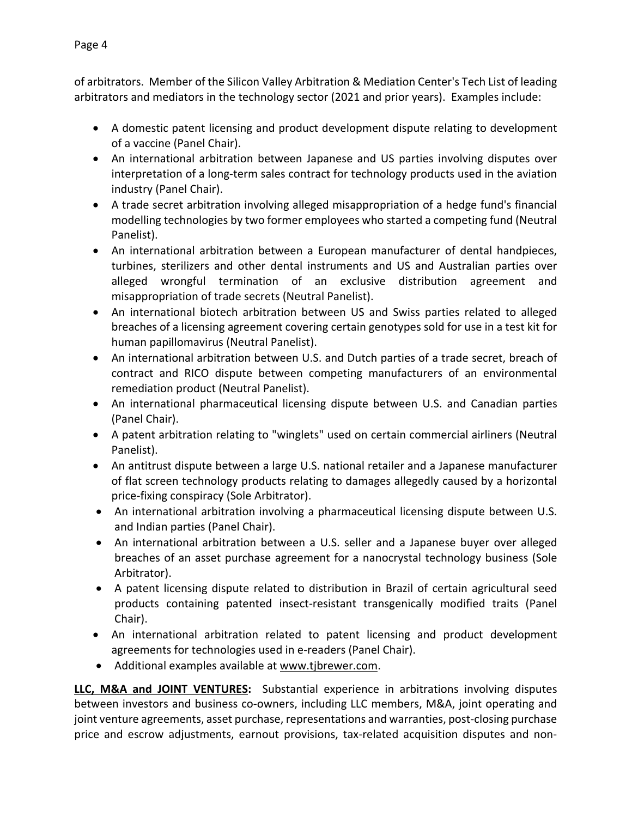of arbitrators. Member of the Silicon Valley Arbitration & Mediation Center's Tech List of leading arbitrators and mediators in the technology sector (2021 and prior years). Examples include:

- A domestic patent licensing and product development dispute relating to development of a vaccine (Panel Chair).
- An international arbitration between Japanese and US parties involving disputes over interpretation of a long-term sales contract for technology products used in the aviation industry (Panel Chair).
- A trade secret arbitration involving alleged misappropriation of a hedge fund's financial modelling technologies by two former employees who started a competing fund (Neutral Panelist).
- An international arbitration between a European manufacturer of dental handpieces, turbines, sterilizers and other dental instruments and US and Australian parties over alleged wrongful termination of an exclusive distribution agreement and misappropriation of trade secrets (Neutral Panelist).
- An international biotech arbitration between US and Swiss parties related to alleged breaches of a licensing agreement covering certain genotypes sold for use in a test kit for human papillomavirus (Neutral Panelist).
- An international arbitration between U.S. and Dutch parties of a trade secret, breach of contract and RICO dispute between competing manufacturers of an environmental remediation product (Neutral Panelist).
- An international pharmaceutical licensing dispute between U.S. and Canadian parties (Panel Chair).
- A patent arbitration relating to "winglets" used on certain commercial airliners (Neutral Panelist).
- An antitrust dispute between a large U.S. national retailer and a Japanese manufacturer of flat screen technology products relating to damages allegedly caused by a horizontal price‐fixing conspiracy (Sole Arbitrator).
- An international arbitration involving a pharmaceutical licensing dispute between U.S. and Indian parties (Panel Chair).
- An international arbitration between a U.S. seller and a Japanese buyer over alleged breaches of an asset purchase agreement for a nanocrystal technology business (Sole Arbitrator).
- A patent licensing dispute related to distribution in Brazil of certain agricultural seed products containing patented insect‐resistant transgenically modified traits (Panel Chair).
- An international arbitration related to patent licensing and product development agreements for technologies used in e‐readers (Panel Chair).
- Additional examples available at www.tjbrewer.com.

**LLC, M&A and JOINT VENTURES:** Substantial experience in arbitrations involving disputes between investors and business co-owners, including LLC members, M&A, joint operating and joint venture agreements, asset purchase, representations and warranties, post‐closing purchase price and escrow adjustments, earnout provisions, tax-related acquisition disputes and non-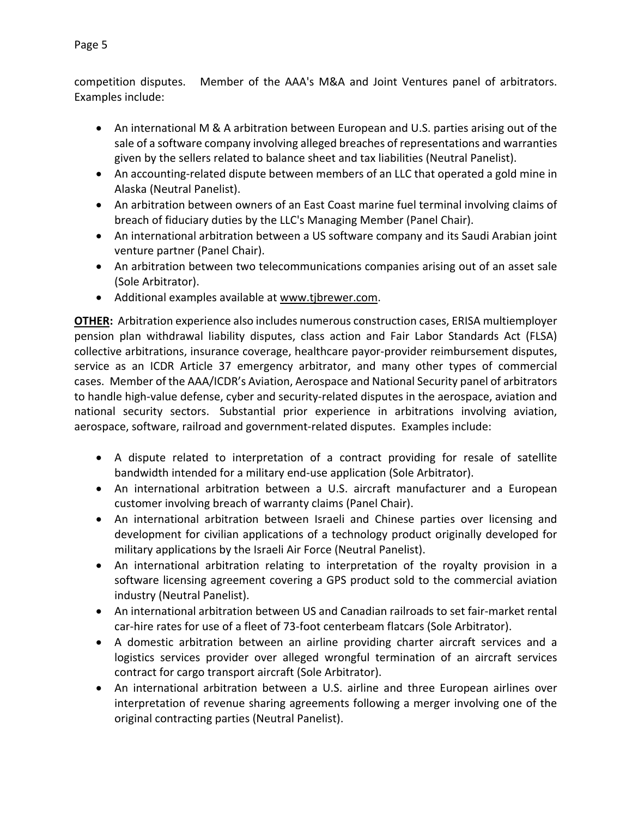- An international M & A arbitration between European and U.S. parties arising out of the sale of a software company involving alleged breaches of representations and warranties given by the sellers related to balance sheet and tax liabilities (Neutral Panelist).
- An accounting-related dispute between members of an LLC that operated a gold mine in Alaska (Neutral Panelist).
- An arbitration between owners of an East Coast marine fuel terminal involving claims of breach of fiduciary duties by the LLC's Managing Member (Panel Chair).
- An international arbitration between a US software company and its Saudi Arabian joint venture partner (Panel Chair).
- An arbitration between two telecommunications companies arising out of an asset sale (Sole Arbitrator).
- Additional examples available at www.tjbrewer.com.

**OTHER:** Arbitration experience also includes numerous construction cases, ERISA multiemployer pension plan withdrawal liability disputes, class action and Fair Labor Standards Act (FLSA) collective arbitrations, insurance coverage, healthcare payor‐provider reimbursement disputes, service as an ICDR Article 37 emergency arbitrator, and many other types of commercial cases. Member of the AAA/ICDR's Aviation, Aerospace and National Security panel of arbitrators to handle high-value defense, cyber and security-related disputes in the aerospace, aviation and national security sectors. Substantial prior experience in arbitrations involving aviation, aerospace, software, railroad and government‐related disputes. Examples include:

- A dispute related to interpretation of a contract providing for resale of satellite bandwidth intended for a military end‐use application (Sole Arbitrator).
- An international arbitration between a U.S. aircraft manufacturer and a European customer involving breach of warranty claims (Panel Chair).
- An international arbitration between Israeli and Chinese parties over licensing and development for civilian applications of a technology product originally developed for military applications by the Israeli Air Force (Neutral Panelist).
- An international arbitration relating to interpretation of the royalty provision in a software licensing agreement covering a GPS product sold to the commercial aviation industry (Neutral Panelist).
- An international arbitration between US and Canadian railroads to set fair‐market rental car‐hire rates for use of a fleet of 73‐foot centerbeam flatcars (Sole Arbitrator).
- A domestic arbitration between an airline providing charter aircraft services and a logistics services provider over alleged wrongful termination of an aircraft services contract for cargo transport aircraft (Sole Arbitrator).
- An international arbitration between a U.S. airline and three European airlines over interpretation of revenue sharing agreements following a merger involving one of the original contracting parties (Neutral Panelist).

Examples include: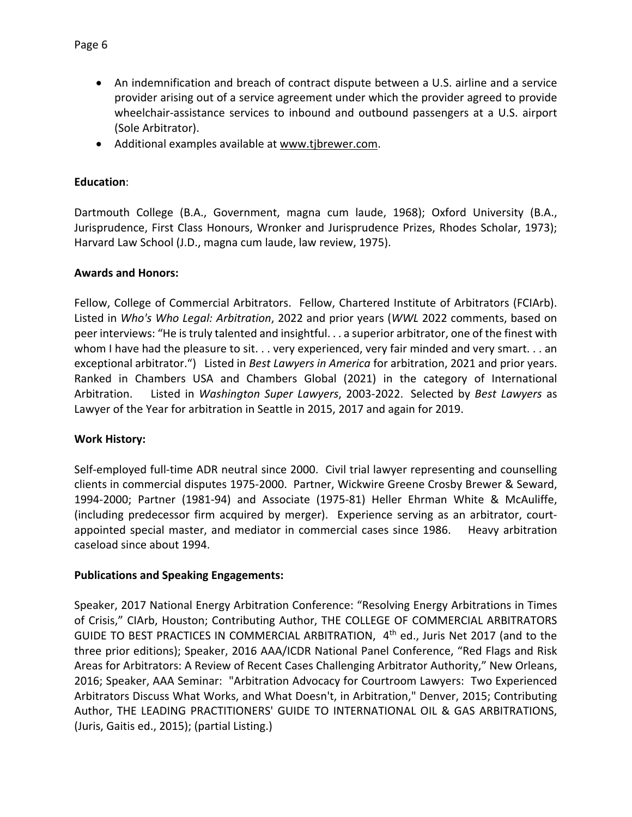- An indemnification and breach of contract dispute between a U.S. airline and a service provider arising out of a service agreement under which the provider agreed to provide wheelchair-assistance services to inbound and outbound passengers at a U.S. airport (Sole Arbitrator).
- Additional examples available at www.tjbrewer.com.

# **Education**:

Dartmouth College (B.A., Government, magna cum laude, 1968); Oxford University (B.A., Jurisprudence, First Class Honours, Wronker and Jurisprudence Prizes, Rhodes Scholar, 1973); Harvard Law School (J.D., magna cum laude, law review, 1975).

## **Awards and Honors:**

Fellow, College of Commercial Arbitrators. Fellow, Chartered Institute of Arbitrators (FCIArb). Listed in *Who's Who Legal: Arbitration*, 2022 and prior years (*WWL* 2022 comments, based on peer interviews: "He is truly talented and insightful. . . a superior arbitrator, one of the finest with whom I have had the pleasure to sit. . . very experienced, very fair minded and very smart. . . an exceptional arbitrator.") Listed in *Best Lawyers in America* for arbitration, 2021 and prior years. Ranked in Chambers USA and Chambers Global (2021) in the category of International Arbitration. Listed in *Washington Super Lawyers*, 2003‐2022. Selected by *Best Lawyers* as Lawyer of the Year for arbitration in Seattle in 2015, 2017 and again for 2019.

# **Work History:**

Self-employed full-time ADR neutral since 2000. Civil trial lawyer representing and counselling clients in commercial disputes 1975‐2000. Partner, Wickwire Greene Crosby Brewer & Seward, 1994‐2000; Partner (1981‐94) and Associate (1975‐81) Heller Ehrman White & McAuliffe, (including predecessor firm acquired by merger). Experience serving as an arbitrator, court‐ appointed special master, and mediator in commercial cases since 1986. Heavy arbitration caseload since about 1994.

#### **Publications and Speaking Engagements:**

Speaker, 2017 National Energy Arbitration Conference: "Resolving Energy Arbitrations in Times of Crisis," CIArb, Houston; Contributing Author, THE COLLEGE OF COMMERCIAL ARBITRATORS GUIDE TO BEST PRACTICES IN COMMERCIAL ARBITRATION, 4<sup>th</sup> ed., Juris Net 2017 (and to the three prior editions); Speaker, 2016 AAA/ICDR National Panel Conference, "Red Flags and Risk Areas for Arbitrators: A Review of Recent Cases Challenging Arbitrator Authority," New Orleans, 2016; Speaker, AAA Seminar: "Arbitration Advocacy for Courtroom Lawyers: Two Experienced Arbitrators Discuss What Works, and What Doesn't, in Arbitration," Denver, 2015; Contributing Author, THE LEADING PRACTITIONERS' GUIDE TO INTERNATIONAL OIL & GAS ARBITRATIONS, (Juris, Gaitis ed., 2015); (partial Listing.)